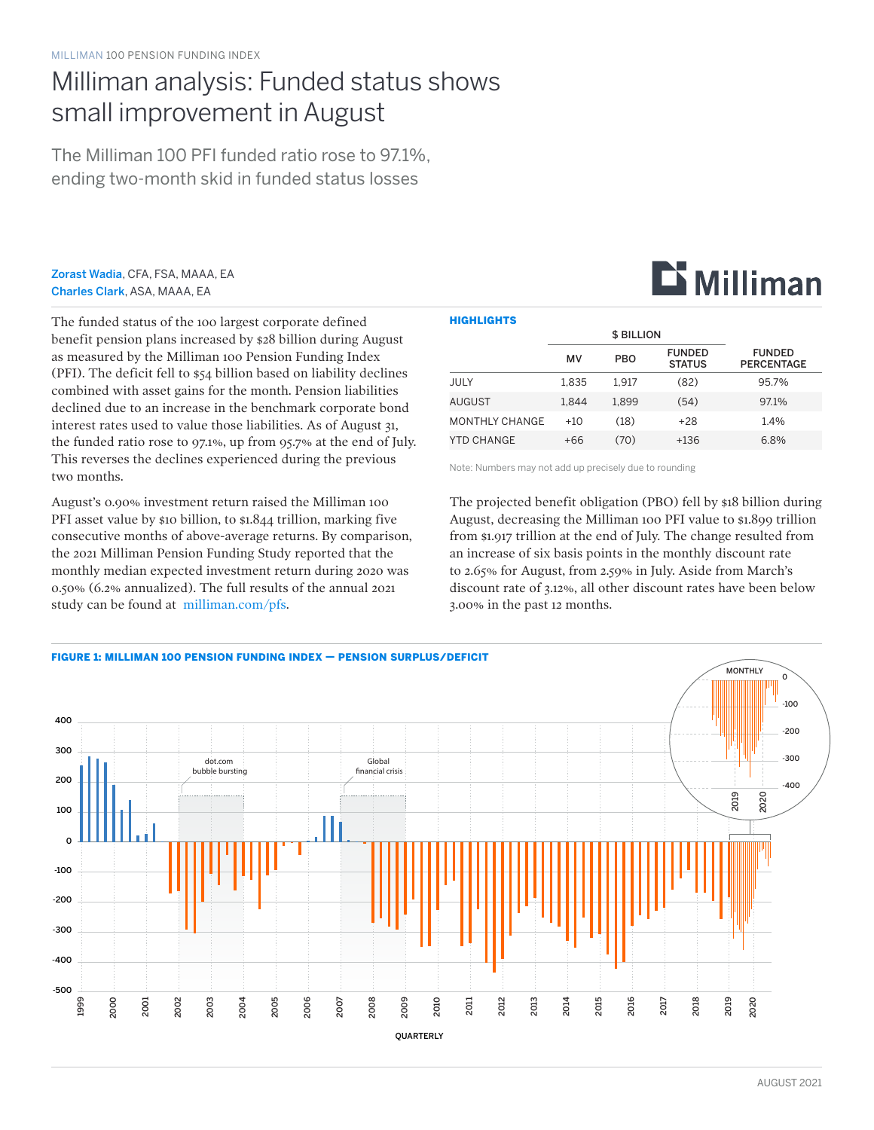## Milliman analysis: Funded status shows small improvement in August

The Milliman 100 PFI funded ratio rose to 97.1%, ending two-month skid in funded status losses

Zorast Wadia, CFA, FSA, MAAA, EA Charles Clark, ASA, MAAA, EA

The funded status of the 100 largest corporate defined benefit pension plans increased by \$28 billion during August as measured by the Milliman 100 Pension Funding Index (PFI). The deficit fell to \$54 billion based on liability declines combined with asset gains for the month. Pension liabilities declined due to an increase in the benchmark corporate bond interest rates used to value those liabilities. As of August 31, the funded ratio rose to 97.1%, up from 95.7% at the end of July. This reverses the declines experienced during the previous two months.

August's 0.90% investment return raised the Milliman 100 PFI asset value by \$10 billion, to \$1.844 trillion, marking five consecutive months of above-average returns. By comparison, the 2021 Milliman Pension Funding Study reported that the monthly median expected investment return during 2020 was 0.50% (6.2% annualized). The full results of the annual 2021 study can be found at [milliman.com/pfs.](http://milliman.com/pfs)

| <b>HIGHLIGHTS</b>     |       |                   |                                |                                    |  |  |  |  |  |
|-----------------------|-------|-------------------|--------------------------------|------------------------------------|--|--|--|--|--|
|                       |       | <b>\$ BILLION</b> |                                |                                    |  |  |  |  |  |
|                       | MV    | <b>PBO</b>        | <b>FUNDED</b><br><b>STATUS</b> | <b>FUNDED</b><br><b>PERCENTAGE</b> |  |  |  |  |  |
| <b>JULY</b>           | 1.835 | 1.917             | (82)                           | 95.7%                              |  |  |  |  |  |
| AUGUST                | 1.844 | 1.899             | (54)                           | 97.1%                              |  |  |  |  |  |
| <b>MONTHLY CHANGE</b> | $+10$ | (18)              | $+28$                          | 1.4%                               |  |  |  |  |  |
| YTD CHANGE            | +66   | (70)              | +136                           | 6.8%                               |  |  |  |  |  |

Note: Numbers may not add up precisely due to rounding

The projected benefit obligation (PBO) fell by \$18 billion during August, decreasing the Milliman 100 PFI value to \$1.899 trillion from \$1.917 trillion at the end of July. The change resulted from an increase of six basis points in the monthly discount rate to 2.65% for August, from 2.59% in July. Aside from March's discount rate of 3.12%, all other discount rates have been below 3.00% in the past 12 months.



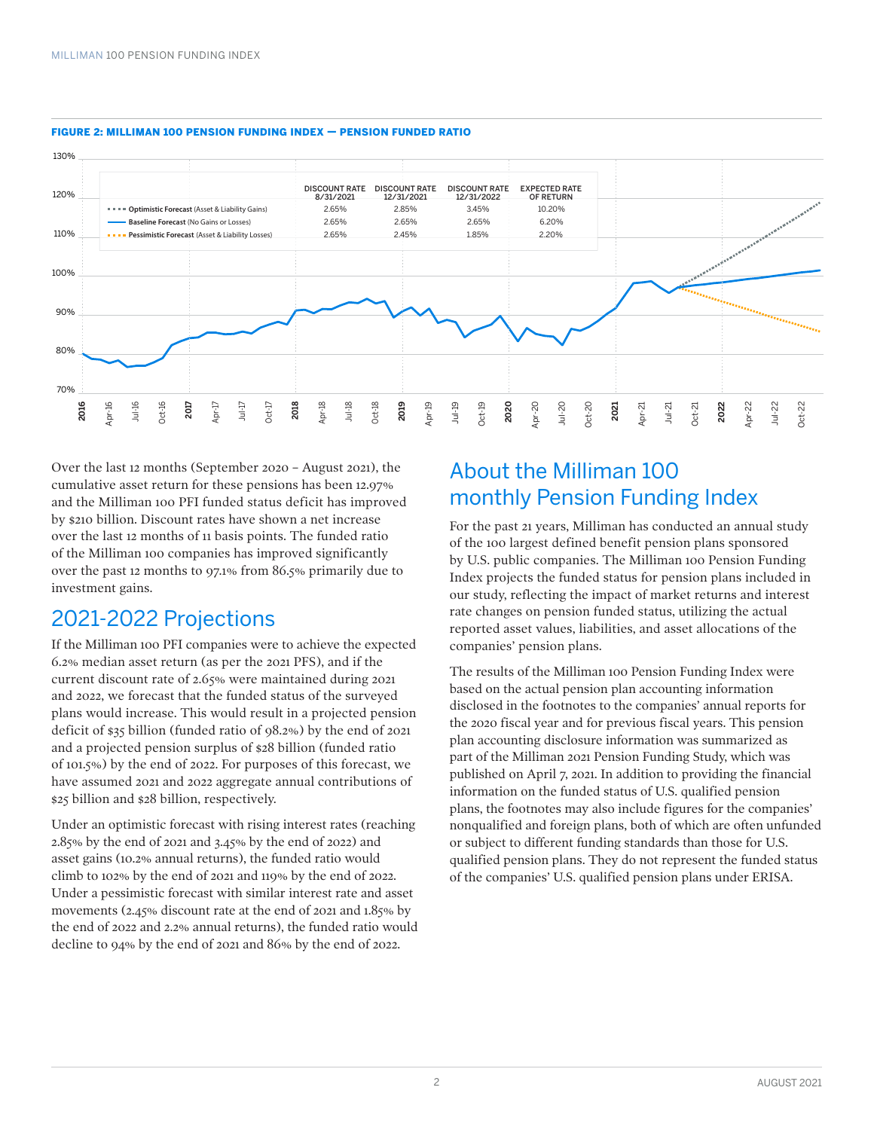

#### FIGURE 2: MILLIMAN 100 PENSION FUNDING INDEX — PENSION FUNDED RATIO

Over the last 12 months (September 2020 – August 2021), the cumulative asset return for these pensions has been 12.97% and the Milliman 100 PFI funded status deficit has improved by \$210 billion. Discount rates have shown a net increase over the last 12 months of 11 basis points. The funded ratio of the Milliman 100 companies has improved significantly over the past 12 months to 97.1% from 86.5% primarily due to investment gains.

## 2021-2022 Projections

If the Milliman 100 PFI companies were to achieve the expected 6.2% median asset return (as per the 2021 PFS), and if the current discount rate of 2.65% were maintained during 2021 and 2022, we forecast that the funded status of the surveyed plans would increase. This would result in a projected pension deficit of \$35 billion (funded ratio of 98.2%) by the end of 2021 and a projected pension surplus of \$28 billion (funded ratio of 101.5%) by the end of 2022. For purposes of this forecast, we have assumed 2021 and 2022 aggregate annual contributions of \$25 billion and \$28 billion, respectively.

Under an optimistic forecast with rising interest rates (reaching 2.85% by the end of 2021 and 3.45% by the end of 2022) and asset gains (10.2% annual returns), the funded ratio would climb to 102% by the end of 2021 and 119% by the end of 2022. Under a pessimistic forecast with similar interest rate and asset movements (2.45% discount rate at the end of 2021 and 1.85% by the end of 2022 and 2.2% annual returns), the funded ratio would decline to 94% by the end of 2021 and 86% by the end of 2022.

### About the Milliman 100 monthly Pension Funding Index

For the past 21 years, Milliman has conducted an annual study of the 100 largest defined benefit pension plans sponsored by U.S. public companies. The Milliman 100 Pension Funding Index projects the funded status for pension plans included in our study, reflecting the impact of market returns and interest rate changes on pension funded status, utilizing the actual reported asset values, liabilities, and asset allocations of the companies' pension plans.

The results of the Milliman 100 Pension Funding Index were based on the actual pension plan accounting information disclosed in the footnotes to the companies' annual reports for the 2020 fiscal year and for previous fiscal years. This pension plan accounting disclosure information was summarized as part of the Milliman 2021 Pension Funding Study, which was published on April 7, 2021. In addition to providing the financial information on the funded status of U.S. qualified pension plans, the footnotes may also include figures for the companies' nonqualified and foreign plans, both of which are often unfunded or subject to different funding standards than those for U.S. qualified pension plans. They do not represent the funded status of the companies' U.S. qualified pension plans under ERISA.